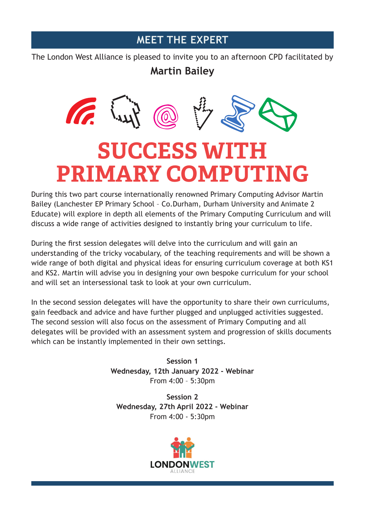## **MEET THE EXPERT**

The London West Alliance is pleased to invite you to an afternoon CPD facilitated by

## **Martin Bailey**



## **SUCCESS WITH PRIMARY COMPUTING**

During this two part course internationally renowned Primary Computing Advisor Martin Bailey (Lanchester EP Primary School – Co.Durham, Durham University and Animate 2 Educate) will explore in depth all elements of the Primary Computing Curriculum and will discuss a wide range of activities designed to instantly bring your curriculum to life.

During the first session delegates will delve into the curriculum and will gain an understanding of the tricky vocabulary, of the teaching requirements and will be shown a wide range of both digital and physical ideas for ensuring curriculum coverage at both KS1 and KS2. Martin will advise you in designing your own bespoke curriculum for your school and will set an intersessional task to look at your own curriculum.

In the second session delegates will have the opportunity to share their own curriculums, gain feedback and advice and have further plugged and unplugged activities suggested. The second session will also focus on the assessment of Primary Computing and all delegates will be provided with an assessment system and progression of skills documents which can be instantly implemented in their own settings.

> **Session 1 Wednesday, 12th January 2022 - Webinar** From 4:00 – 5:30pm

**Session 2 Wednesday, 27th April 2022 - Webinar** From 4:00 - 5:30pm